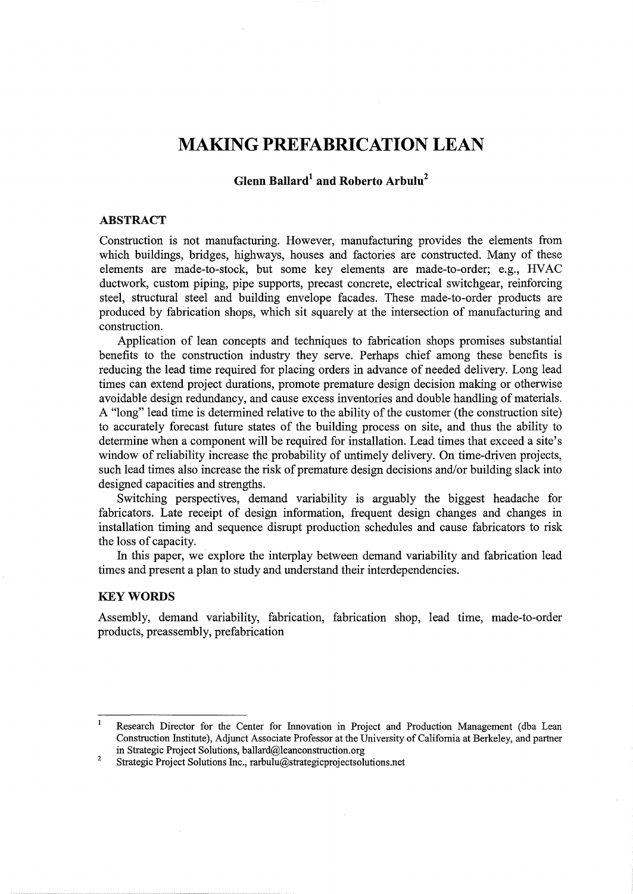# **MAKING PREFABRICATION LEAN**

# **Glenn Ballard1 and Roberto Arbulu2**

#### **ABSTRACT**

Construction is not manufacturing. However, manufacturing provides the elements from which buildings, bridges, highways, houses and factories are constructed. Many of these elements are made-to-stock, but some key elements are made-to-order; e.g., HVAC ductwork, custom piping, pipe supports, precast concrete, electrical switchgear, reinforcing steel, structural steel and building envelope facades. These made-to-order products are produced by fabrication shops, which sit squarely at the intersection of manufacturing and construction.

Application of lean concepts and techniques to fabrication shops promises substantial benefits to the construction industry they serve. Perhaps chief among these benefits is reducing the lead time required for placing orders in advance of needed delivery. Long lead times can extend project durations, promote premature design decision making or otherwise avoidable design redundancy, and cause excess inventories and double handling of materials. A "long" lead time is determined relative to the ability of the customer (the construction site) to accurately forecast future states of the building process on site, and thus the ability to determine when a component will be required for installation. Lead times that exceed a site's window of reliability increase the probability of untimely delivery. On time-driven projects, such lead times also increase the risk of premature design decisions and/or building slack into designed capacities and strengths.

Switching perspectives, demand variability is arguably the biggest headache for fabricators. Late receipt of design information, frequent design changes and changes in installation timing and sequence disrupt production schedules and cause fabricators to risk the loss of capacity.

In this paper, we explore the interplay between demand variability and fabrication lead times and present a plan to study and understand their interdependencies.

#### **KEYWORDS**

Assembly, demand variability, fabrication, fabrication shop, lead time, made-to-order products, preassembly, prefabrication

 $\mathbf{1}$ Research Director for the Center for Innovation in Project and Production Management ( dba Lean Construction Institute), Adjunct Associate Professor at the University of California at Berkeley, and partner in Strategic Project Solutions, ballard@leanconstruction.org

<sup>2</sup>  Strategic Project Solutions Inc., rarbulu@strategicprojectsolutions.net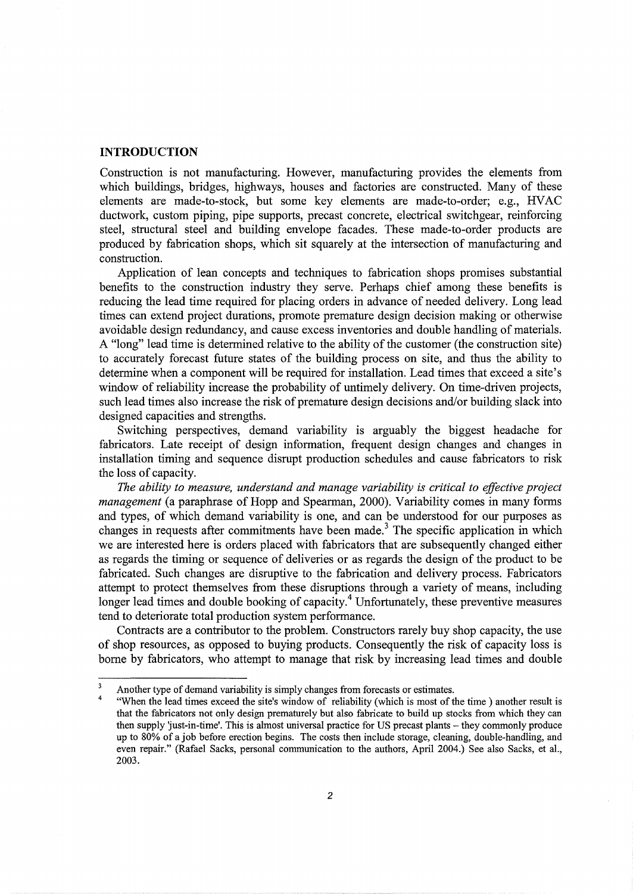# **INTRODUCTION**

Construction is not manufacturing. However, manufacturing provides the elements from which buildings, bridges, highways, houses and factories are constructed. Many of these elements are made-to-stock, but some key elements are made-to-order; e.g., HVAC ductwork, custom piping, pipe supports, precast concrete, electrical switchgear, reinforcing steel, structural steel and building envelope facades. These made-to-order products are produced by fabrication shops, which sit squarely at the intersection of manufacturing and construction.

Application of lean concepts and techniques to fabrication shops promises substantial benefits to the construction industry they serve. Perhaps chief among these benefits is reducing the lead time required for placing orders in advance of needed delivery. Long lead times can extend project durations, promote premature design decision making or otherwise avoidable design redundancy, and cause excess inventories and double handling of materials. A "long" lead time is determined relative to the ability of the customer (the construction site) to accurately forecast future states of the building process on site, and thus the ability to determine when a component will be required for installation. Lead times that exceed a site's window of reliability increase the probability of untimely delivery. On time-driven projects, such lead times also increase the risk of premature design decisions and/or building slack into designed capacities and strengths.

Switching perspectives, demand variability is arguably the biggest headache for fabricators. Late receipt of design information, frequent design changes and changes in installation timing and sequence disrupt production schedules and cause fabricators to risk the loss of capacity.

*The ability to measure, understand and manage variability is critical to effective project management* (a paraphrase of Hopp and Spearman, 2000). Variability comes in many forms and types, of which demand variability is one, and can be understood for our purposes as changes in requests after commitments have been made.<sup>3</sup> The specific application in which we are interested here is orders placed with fabricators that are subsequently changed either as regards the timing or sequence of deliveries or as regards the design of the product to be fabricated. Such changes are disruptive to the fabrication and delivery process. Fabricators attempt to protect themselves from these disruptions through a variety of means, including longer lead times and double booking of capacity.<sup>4</sup> Unfortunately, these preventive measures tend to deteriorate total production system performance.

Contracts are a contributor to the problem. Constructors rarely buy shop capacity, the use of shop resources, as opposed to buying products. Consequently the risk of capacity loss is borne by fabricators, who attempt to manage that risk by increasing lead times and double

Another type of demand variability is simply changes from forecasts or estimates.

<sup>4</sup>  "When the lead times exceed the site's window of reliability (which is most of the time) another result is that the fabricators not only design prematurely but also fabricate to build up stocks from which they can then supply just-in-time'. This is almost universal practice for US precast plants- they commonly produce up to 80% of a job before erection begins. The costs then include storage, cleaning, double-handling, and even repair." (Rafael Sacks, personal communication to the authors, April 2004.) See also Sacks, et al., 2003.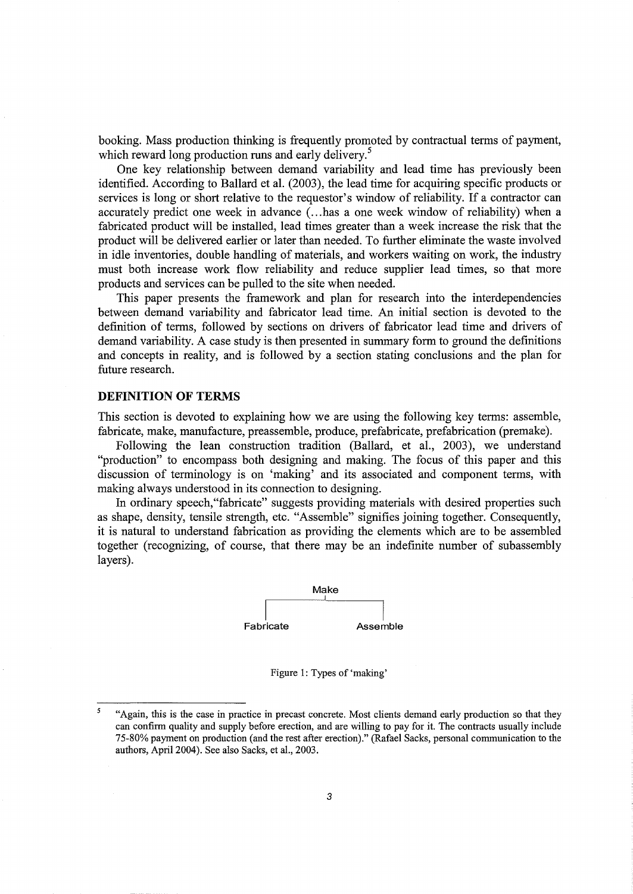booking. Mass production thinking is frequently promoted by contractual terms of payment, which reward long production runs and early delivery.<sup>5</sup>

One key relationship between demand variability and lead time has previously been identified. According to Ballard et al. (2003), the lead time for acquiring specific products or services is long or short relative to the requestor's window of reliability. If a contractor can accurately predict one week in advance ( ... has a one week window of reliability) when a fabricated product will be installed, lead times greater than a week increase the risk that the product will be delivered earlier or later than needed. To further eliminate the waste involved in idle inventories, double handling of materials, and workers waiting on work, the industry must both increase work flow reliability and reduce supplier lead times, so that more products and services can be pulled to the site when needed.

This paper presents the framework and plan for research into the interdependencies between demand variability and fabricator lead time. An initial section is devoted to the definition of terms, followed by sections on drivers of fabricator lead time and drivers of demand variability. A case study is then presented in summary form to ground the definitions and concepts in reality, and is followed by a section stating conclusions and the plan for future research.

# **DEFINITION OF TERMS**

This section is devoted to explaining how we are using the following key terms: assemble, fabricate, make, manufacture, preassemble, produce, prefabricate, prefabrication (premake).

Following the lean construction tradition (Ballard, et al., 2003), we understand "production" to encompass both designing and making. The focus of this paper and this discussion of terminology is on 'making' and its associated and component terms, with making always understood in its connection to designing.

In ordinary speech, "fabricate" suggests providing materials with desired properties such as shape, density, tensile strength, etc. "Assemble" signifies joining together. Consequently, it is natural to understand fabrication as providing the elements which are to be assembled together (recognizing, of course, that there may be an indefinite number of subassembly layers).



Figure 1: Types of 'making'

 $\overline{5}$ "Again, this is the case in practice in precast concrete. Most clients demand early production so that they can confirm quality and supply before erection, and are willing to pay for it. The contracts usually include 75-80% payment on production (and the rest after erection)." (Rafael Sacks, personal communication to the authors, April2004). See also Sacks, et al., 2003.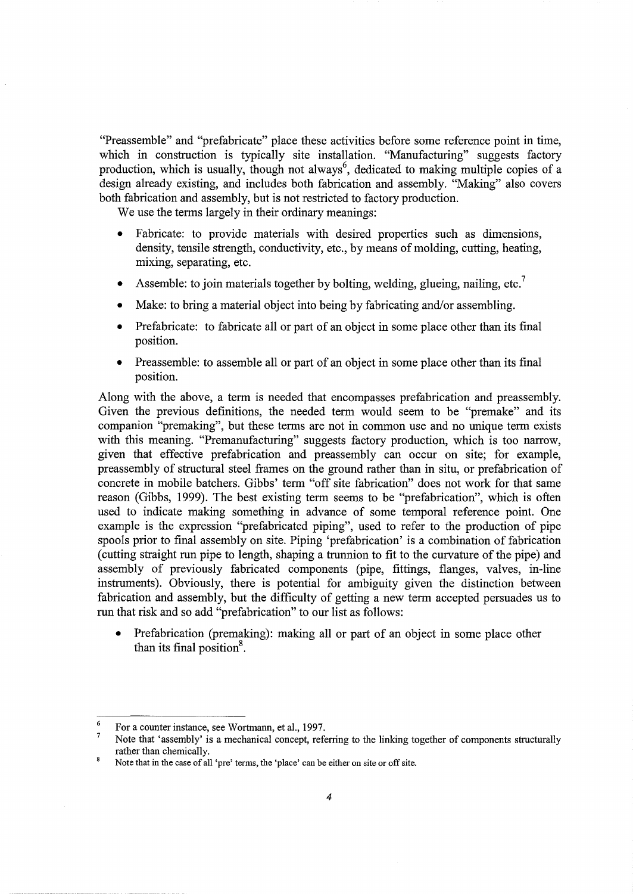"Preassemble" and "prefabricate" place these activities before some reference point in time, which in construction is typically site installation. "Manufacturing" suggests factory production, which is usually, though not always<sup>6</sup>, dedicated to making multiple copies of a design already existing, and includes both fabrication and assembly. "Making" also covers both fabrication and assembly, but is not restricted to factory production.

We use the terms largely in their ordinary meanings:

- Fabricate: to provide materials with desired properties such as dimensions, density, tensile strength, conductivity, etc., by means of molding, cutting, heating, mixing, separating, etc.
- Assemble: to join materials together by bolting, welding, glueing, nailing, etc.<sup>7</sup>
- Make: to bring a material object into being by fabricating and/or assembling.
- Prefabricate: to fabricate all or part of an object in some place other than its final position.
- Preassemble: to assemble all or part of an object in some place other than its final position.

Along with the above, a term is needed that encompasses prefabrication and preassembly. Given the previous definitions, the needed term would seem to be "premake" and its companion "premaking", but these terms are not in common use and no unique term exists with this meaning. "Premanufacturing" suggests factory production, which is too narrow, given that effective prefabrication and preassembly can occur on site; for example, preassembly of structural steel frames on the ground rather than in situ, or prefabrication of concrete in mobile hatchers. Gibbs' term "off site fabrication" does not work for that same reason (Gibbs, 1999). The best existing term seems to be "prefabrication", which is often used to indicate making something in advance of some temporal reference point. One example is the expression "prefabricated piping", used to refer to the production of pipe spools prior to final assembly on site. Piping 'prefabrication' is a combination of fabrication (cutting straight run pipe to length, shaping a trunnion to fit to the curvature of the pipe) and assembly of previously fabricated components (pipe, fittings, flanges, valves, in-line instruments). Obviously, there is potential for ambiguity given the distinction between fabrication and assembly, but the difficulty of getting a new term accepted persuades us to run that risk and so add "prefabrication" to our list as follows:

Prefabrication (premaking): making all or part of an object in some place other than its final position $8$ .

 $\epsilon$ For a counter instance, see Wortmann, et al., 1997.

<sup>7</sup>  Note that 'assembly' is a mechanical concept, referring to the linking together of components structurally rather than chemically.

 $\bf 8$ Note that in the case of all 'pre' terms, the 'place' can be either on site or off site.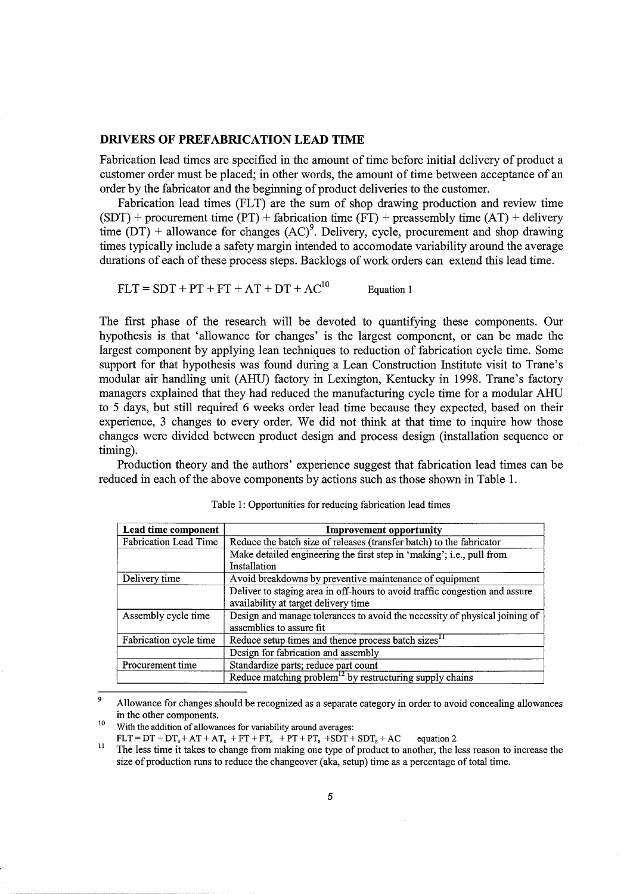#### **DRIVERS OF PREFABRICATION LEAD TIME**

Fabrication lead times are specified in the amount of time before initial delivery of product a customer order must be placed; in other words, the amount of time between acceptance of an order by the fabricator and the beginning of product deliveries to the customer.

Fabrication lead times (FLT) are the sum of shop drawing production and review time  $(SDT)$  + procurement time (PT) + fabrication time (FT) + preassembly time (AT) + delivery time  $(DT)$  + allowance for changes  $(AC)^9$ . Delivery, cycle, procurement and shop drawing times typically include a safety margin intended to accomodate variability around the average durations of each of these process steps. Backlogs of work orders can extend this lead time.

 $FLT = SDT + PT + FT + AT + DT + AC<sup>10</sup>$  Equation 1

The first phase of the research will be devoted to quantifying these components. Our hypothesis is that 'allowance for changes' is the largest component, or can be made the largest component by applying lean techniques to reduction of fabrication cycle time. Some support for that hypothesis was found during a Lean Construction Institute visit to Trane's modular air handling unit (AHU) factory in Lexington, Kentucky in 1998. Trane's factory managers explained that they had reduced the manufacturing cycle time for a modular AHU to 5 days, but still required 6 weeks order lead time because they expected, based on their experience, 3 changes to every order. We did not think at that time to inquire how those changes were divided between product design and process design (installation sequence or timing).

Production theory and the authors' experience suggest that fabrication lead times can be reduced in each of the above components by actions such as those shown in Table 1.

| Lead time component          | <b>Improvement opportunity</b>                                              |
|------------------------------|-----------------------------------------------------------------------------|
| <b>Fabrication Lead Time</b> | Reduce the batch size of releases (transfer batch) to the fabricator        |
|                              | Make detailed engineering the first step in 'making'; i.e., pull from       |
|                              | Installation                                                                |
| Delivery time                | Avoid breakdowns by preventive maintenance of equipment                     |
|                              | Deliver to staging area in off-hours to avoid traffic congestion and assure |
|                              | availability at target delivery time                                        |
| Assembly cycle time          | Design and manage tolerances to avoid the necessity of physical joining of  |
|                              | assemblies to assure fit                                                    |
| Fabrication cycle time       | Reduce setup times and thence process batch sizes <sup>11</sup>             |
|                              | Design for fabrication and assembly                                         |
| Procurement time             | Standardize parts; reduce part count                                        |
|                              | Reduce matching problem <sup>12</sup> by restructuring supply chains        |

Table 1: Opportunities for reducing fabrication lead times

<sup>9</sup> Allowance for changes should be recognized as a separate category in order to avoid concealing allowances in the other components.<br><sup>10</sup> With the addition of allowances for variability around averages:

FLT =  $DT + DT_s + AT + AT_s + FT + FT_s + PT_s + PT_s + SDT + SDT_s + AC$  equation 2<br><sup>11</sup> The less time it takes to change from making one type of product to another, the less reason to increase the size of production runs to reduce the changeover (aka, setup) time as a percentage of total time.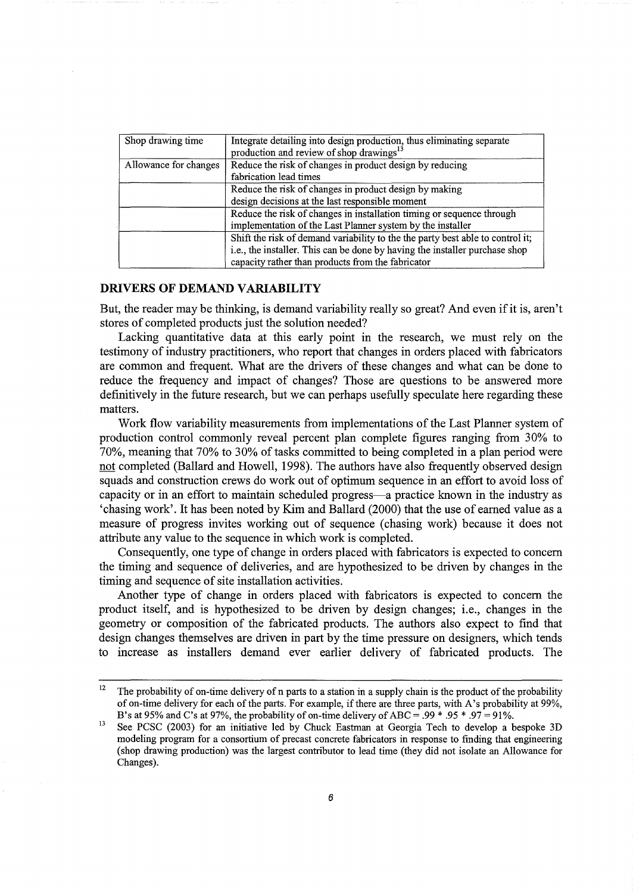| Shop drawing time     | Integrate detailing into design production, thus eliminating separate<br>production and review of shop drawings <sup>13</sup>                                                                                      |
|-----------------------|--------------------------------------------------------------------------------------------------------------------------------------------------------------------------------------------------------------------|
| Allowance for changes | Reduce the risk of changes in product design by reducing<br>fabrication lead times                                                                                                                                 |
|                       | Reduce the risk of changes in product design by making<br>design decisions at the last responsible moment                                                                                                          |
|                       | Reduce the risk of changes in installation timing or sequence through<br>implementation of the Last Planner system by the installer                                                                                |
|                       | Shift the risk of demand variability to the the party best able to control it;<br>i.e., the installer. This can be done by having the installer purchase shop<br>capacity rather than products from the fabricator |

## **DRIVERS OF DEMAND VARIABILITY**

But, the reader may be thinking, is demand variability really so great? And even if it is, aren't stores of completed products just the solution needed?

Lacking quantitative data at this early point in the research, we must rely on the testimony of industry practitioners, who report that changes in orders placed with fabricators are common and frequent. What are the drivers of these changes and what can be done to reduce the frequency and impact of changes? Those are questions to be answered more definitively in the future research, but we can perhaps usefully speculate here regarding these matters.

Work flow variability measurements from implementations of the Last Planner system of production control commonly reveal percent plan complete figures ranging from 30% to 70%, meaning that 70% to 30% of tasks committed to being completed in a plan period were not completed (Ballard and Howell, 1998). The authors have also frequently observed design squads and construction crews do work out of optimum sequence in an effort to avoid loss of capacity or in an effort to maintain scheduled progress-a practice known in the industry as 'chasing work'. It has been noted by Kim and Ballard (2000) that the use of earned value as a measure of progress invites working out of sequence (chasing work) because it does not attribute any value to the sequence in which work is completed.

Consequently, one type of change in orders placed with fabricators is expected to concern the timing and sequence of deliveries, and are hypothesized to be driven by changes in the timing and sequence of site installation activities.

Another type of change in orders placed with fabricators is expected to concern the product itself, and is hypothesized to be driven by design changes; i.e., changes in the geometry or composition of the fabricated products. The authors also expect to find that design changes themselves are driven in part by the time pressure on designers, which tends to increase as installers demand ever earlier delivery of fabricated products. The

<sup>&</sup>lt;sup>12</sup> The probability of on-time delivery of n parts to a station in a supply chain is the product of the probability of on-time delivery for each of the parts. For example, if there are three parts, with A's probability at 99%, B's at 95% and C's at 97%, the probability of on-time delivery of ABC = .99  $*$  .95  $*$  .97 = 91%.

<sup>&</sup>lt;sup>13</sup> See PCSC (2003) for an initiative led by Chuck Eastman at Georgia Tech to develop a bespoke 3D modeling program for a consortium of precast concrete fabricators in response to finding that engineering (shop drawing production) was the largest contributor to lead time (they did not isolate an Allowance for Changes).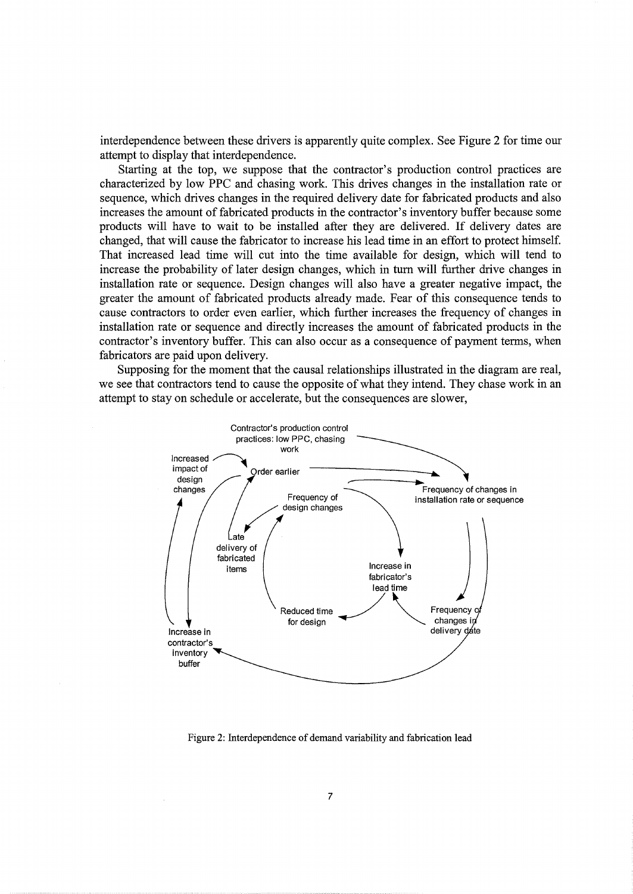interdependence between these drivers is apparently quite complex. See Figure 2 for time our attempt to display that interdependence.

Starting at the top, we suppose that the contractor's production control practices are characterized by low PPC and chasing work. This drives changes in the installation rate or sequence, which drives changes in the required delivery date for fabricated products and also increases the amount of fabricated products in the contractor's inventory buffer because some products will have to wait to be installed after they are delivered. If delivery dates are changed, that will cause the fabricator to increase his lead time in an effort to protect himself. That increased lead time will cut into the time available for design, which will tend to increase the probability of later design changes, which in tum will further drive changes in installation rate or sequence. Design changes will also have a greater negative impact, the greater the amount of fabricated products already made. Fear of this consequence tends to cause contractors to order even earlier, which further increases the frequency of changes in installation rate or sequence and directly increases the amount of fabricated products in the contractor's inventory buffer. This can also occur as a consequence of payment terms, when fabricators are paid upon delivery.

Supposing for the moment that the causal relationships illustrated in the diagram are real, we see that contractors tend to cause the opposite of what they intend. They chase work in an attempt to stay on schedule or accelerate, but the consequences are slower,



Figure 2: Interdependence of demand variability and fabrication lead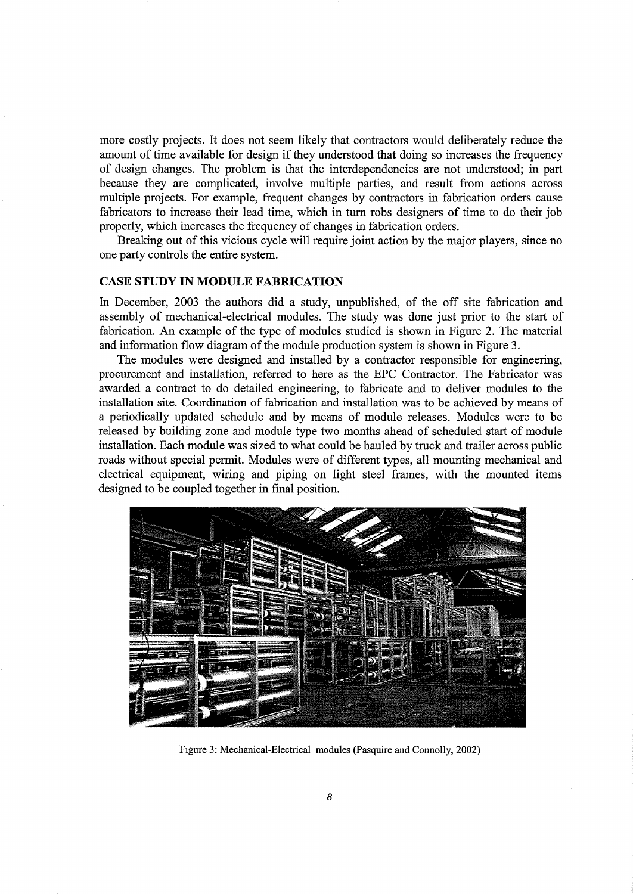more costly projects. It does not seem likely that contractors would deliberately reduce the amount of time available for design if they understood that doing so increases the frequency of design changes. The problem is that the interdependencies are not understood; in part because they are complicated, involve multiple parties, and result from actions across multiple projects. For example, frequent changes by contractors in fabrication orders cause fabricators to increase their lead time, which in turn robs designers of time to do their job properly, which increases the frequency of changes in fabrication orders.

Breaking out of this vicious cycle will require joint action by the major players, since no one party controls the entire system.

# **CASE STUDY IN MODULE FABRICATION**

In December, 2003 the authors did a study, unpublished, of the off site fabrication and assembly of mechanical-electrical modules. The study was done just prior to the start of fabrication. An example of the type of modules studied is shown in Figure 2. The material and information flow diagram of the module production system is shown in Figure 3.

The modules were designed and installed by a contractor responsible for engineering, procurement and installation, referred to here as the EPC Contractor. The Fabricator was awarded a contract to do detailed engineering, to fabricate and to deliver modules to the installation site. Coordination of fabrication and installation was to be achieved by means of a periodically updated schedule and by means of module releases. Modules were to be released by building zone and module type two months ahead of scheduled start of module installation. Each module was sized to what could be hauled by truck and trailer across public roads without special permit. Modules were of different types, all mounting mechanical and electrical equipment, wiring and piping on light steel frames, with the mounted items designed to be coupled together in final position.



Figure 3: Mechanical-Electrical modules (Pasquire and Connolly, 2002)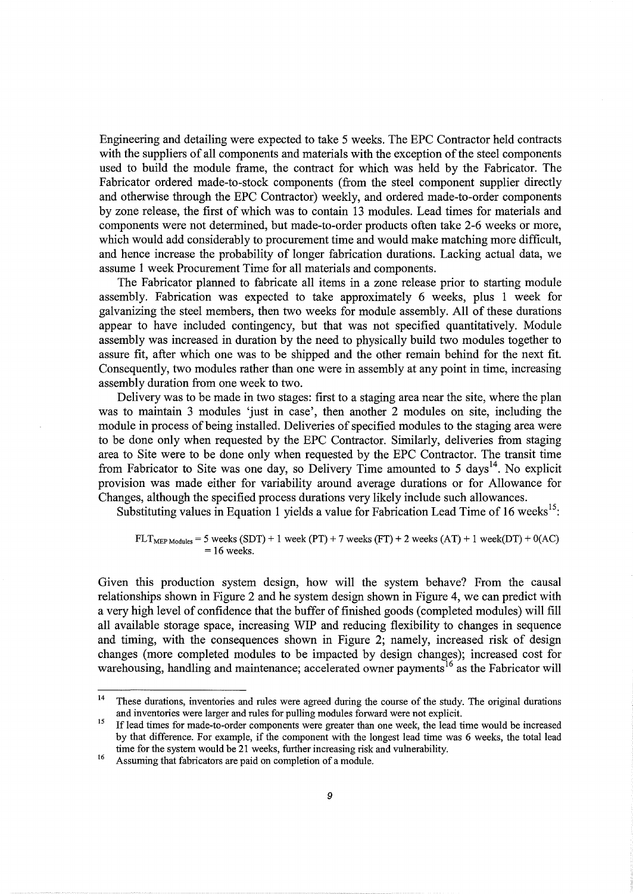Engineering and detailing were expected to take 5 weeks. The EPC Contractor held contracts with the suppliers of all components and materials with the exception of the steel components used to build the module frame, the contract for which was held by the Fabricator. The Fabricator ordered made-to-stock components (from the steel component supplier directly and otherwise through the EPC Contractor) weekly, and ordered made-to-order components by zone release, the first of which was to contain 13 modules. Lead times for materials and components were not determined, but made-to-order products often take 2-6 weeks or more, which would add considerably to procurement time and would make matching more difficult, and hence increase the probability of longer fabrication durations. Lacking actual data, we assume 1 week Procurement Time for all materials and components.

The Fabricator planned to fabricate all items in a zone release prior to starting module assembly. Fabrication was expected to take approximately 6 weeks, plus 1 week for galvanizing the steel members, then two weeks for module assembly. All of these durations appear to have included contingency, but that was not specified quantitatively. Module assembly was increased in duration by the need to physically build two modules together to assure fit, after which one was to be shipped and the other remain behind for the next fit. Consequently, two modules rather than one were in assembly at any point in time, increasing assembly duration from one week to two.

Delivery was to be made in two stages: first to a staging area near the site, where the plan was to maintain 3 modules 'just in case', then another 2 modules on site, including the module in process of being installed. Deliveries of specified modules to the staging area were to be done only when requested by the EPC Contractor. Similarly, deliveries from staging area to Site were to be done only when requested by the EPC Contractor. The transit time from Fabricator to Site was one day, so Delivery Time amounted to 5 days<sup>14</sup>. No explicit provision was made either for variability around average durations or for Allowance for Changes, although the specified process durations very likely include such allowances.

Substituting values in Equation 1 yields a value for Fabrication Lead Time of 16 weeks<sup>15</sup>:

## $FLT<sub>MEP Modules</sub> = 5 weeks (SDT) + 1 week (PT) + 7 weeks (FT) + 2 weeks (AT) + 1 week(DT) + 0(AC)$  $= 16$  weeks.

Given this production system design, how will the system behave? From the causal relationships shown in Figure 2 and he system design shown in Figure 4, we can predict with a very high level of confidence that the buffer of finished goods (completed modules) will fill all available storage space, increasing WIP and reducing flexibility to changes in sequence and timing, with the consequences shown in Figure 2; namely, increased risk of design changes (more completed modules to be impacted by design changes); increased cost for warehousing, handling and maintenance; accelerated owner payments<sup>16</sup> as the Fabricator will

<sup>&</sup>lt;sup>14</sup> These durations, inventories and rules were agreed during the course of the study. The original durations and inventories were larger and rules for pulling modules forward were not explicit.<br><sup>15</sup> If lead times for made-to-order components were greater than one week, the lead time would be increased

by that difference. For example, if the component with the longest lead time was 6 weeks, the total lead time for the system would be 21 weeks, further increasing risk and vulnerability.<br><sup>16</sup> Assuming that fabricators are paid on completion of a module.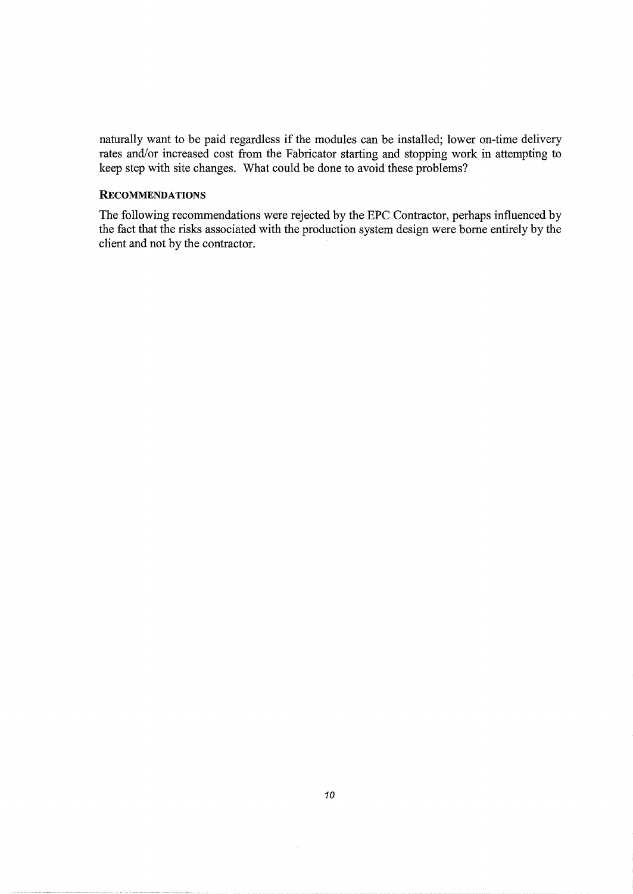naturally want to be paid regardless if the modules can be installed; lower on-time delivery rates and/or increased cost from the Fabricator starting and stopping work in attempting to keep step with site changes. What could be done to avoid these problems?

## **RECOMMENDATIONS**

The following recommendations were rejected by the EPC Contractor, perhaps influenced by the fact that the risks associated with the production system design were borne entirely by the client and not by the contractor.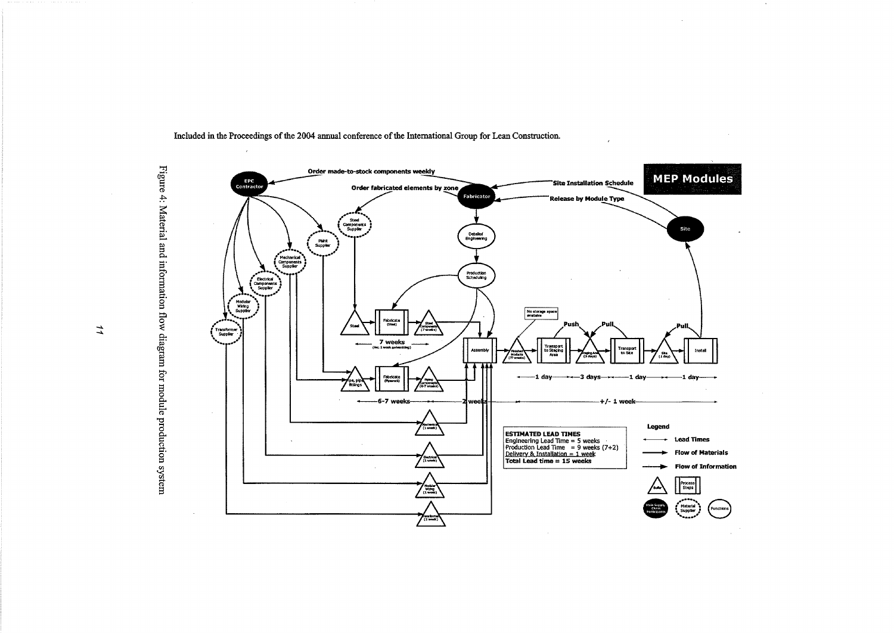

Included in the Proceedings of the 2004 annual conference of the Interuational Group for Lean Construction.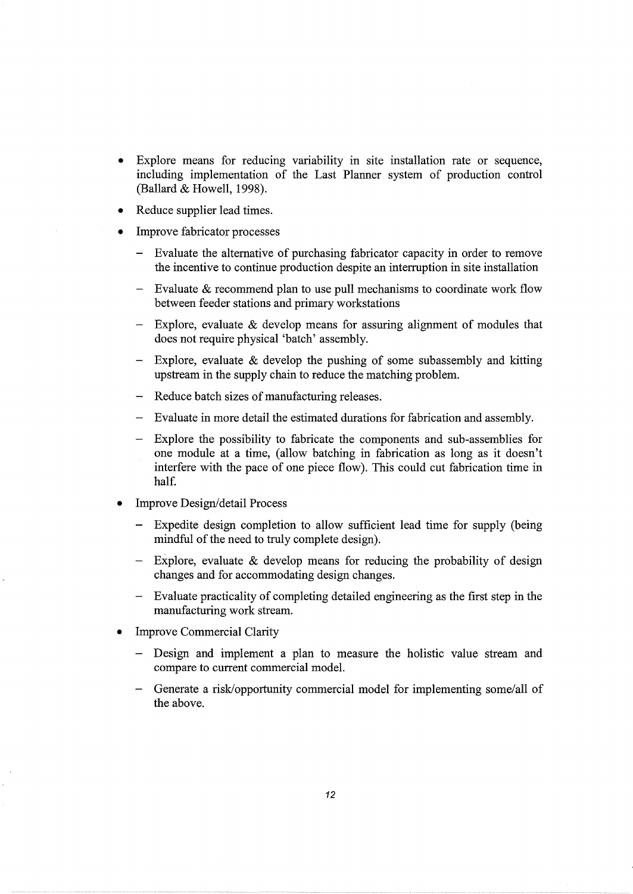- Explore means for reducing variability in site installation rate or sequence, including implementation of the Last Planner system of production control (Ballard  $&$  Howell, 1998).
- Reduce supplier lead times.
- Improve fabricator processes
	- Evaluate the alternative of purchasing fabricator capacity in order to remove the incentive to continue production despite an interruption in site installation
	- Evaluate & recommend plan to use pull mechanisms to coordinate work flow between feeder stations and primary workstations
	- Explore, evaluate & develop means for assuring alignment of modules that does not require physical 'batch' assembly.
	- Explore, evaluate  $\&$  develop the pushing of some subassembly and kitting upstream in the supply chain to reduce the matching problem.
	- Reduce batch sizes of manufacturing releases.
	- Evaluate in more detail the estimated durations for fabrication and assembly.
	- Explore the possibility to fabricate the components and sub-assemblies for one module at a time, (allow batching in fabrication as long as it doesn't interfere with the pace of one piece flow). This could cut fabrication time in half.
- Improve Design/detail Process
	- Expedite design completion to allow sufficient lead time for supply (being mindful of the need to truly complete design).
	- Explore, evaluate & develop means for reducing the probability of design changes and for accommodating design changes.
	- Evaluate practicality of completing detailed engineering as the first step in the manufacturing work stream.
- **Improve Commercial Clarity** 
	- Design and implement a plan to measure the holistic value stream and compare to current commercial model.
	- Generate a risk/opportunity commercial model for implementing some/all of the above.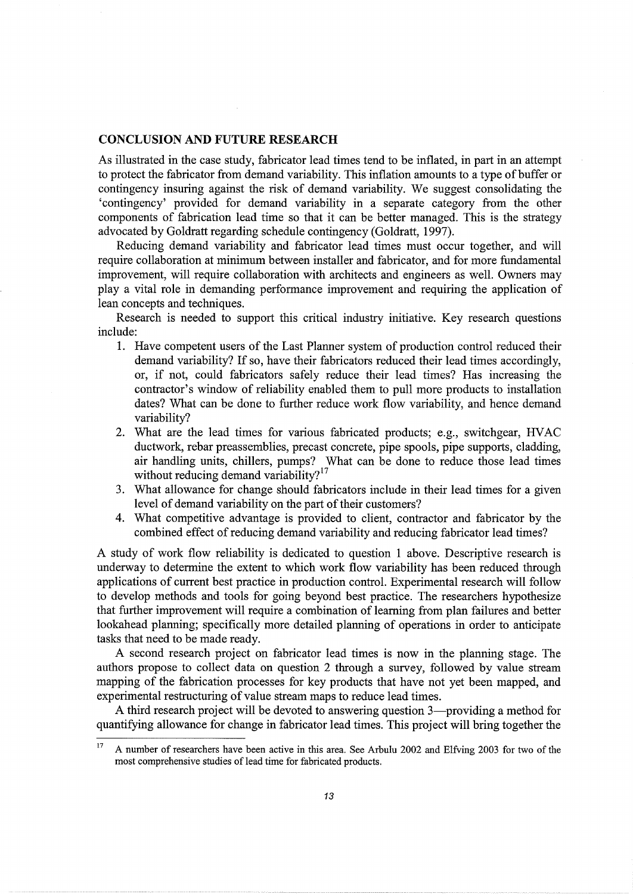#### **CONCLUSION AND FUTURE RESEARCH**

As illustrated in the case study, fabricator lead times tend to be inflated, in part in an attempt to protect the fabricator from demand variability. This inflation amounts to a type of buffer or contingency insuring against the risk of demand variability. We suggest consolidating the 'contingency' provided for demand variability in a separate category from the other components of fabrication lead time so that it can be better managed. This is the strategy advocated by Goldratt regarding schedule contingency (Goldratt, 1997).

Reducing demand variability and fabricator lead times must occur together, and will require collaboration at minimum between installer and fabricator, and for more fundamental improvement, will require collaboration with architects and engineers as well. Owners may play a vital role in demanding performance improvement and requiring the application of lean concepts and techniques.

Research is needed to support this critical industry initiative. Key research questions include:

- 1. Have competent users of the Last Planner system of production control reduced their demand variability? If so, have their fabricators reduced their lead times accordingly, or, if not, could fabricators safely reduce their lead times? Has increasing the contractor's window of reliability enabled them to pull more products to installation dates? What can be done to further reduce work flow variability, and hence demand variability?
- 2. What are the lead times for various fabricated products; e.g., switchgear, HV AC ductwork, rebar preassemblies, precast concrete, pipe spools, pipe supports, cladding, air handling units, chillers, pumps? What can be done to reduce those lead times without reducing demand variability?<sup>17</sup>
- 3. What allowance for change should fabricators include in their lead times for a given level of demand variability on the part of their customers?
- 4. What competitive advantage is provided to client, contractor and fabricator by the combined effect of reducing demand variability and reducing fabricator lead times?

A study of work flow reliability is dedicated to question 1 above. Descriptive research is underway to determine the extent to which work flow variability has been reduced through applications of current best practice in production control. Experimental research will follow to develop methods and tools for going beyond best practice. The researchers hypothesize that further improvement will require a combination of learning from plan failures and better lookahead planning; specifically more detailed planning of operations in order to anticipate tasks that need to be made ready.

A second research project on fabricator lead times is now in the planning stage. The authors propose to collect data on question 2 through a survey, followed by value stream mapping of the fabrication processes for key products that have not yet been mapped, and experimental restructuring of value stream maps to reduce lead times.

A third research project will be devoted to answering question 3—providing a method for quantifying allowance for change in fabricator lead times. This project will bring together the

<sup>&</sup>lt;sup>17</sup> A number of researchers have been active in this area. See Arbulu 2002 and Elfving 2003 for two of the most comprehensive studies of lead time for fabricated products.